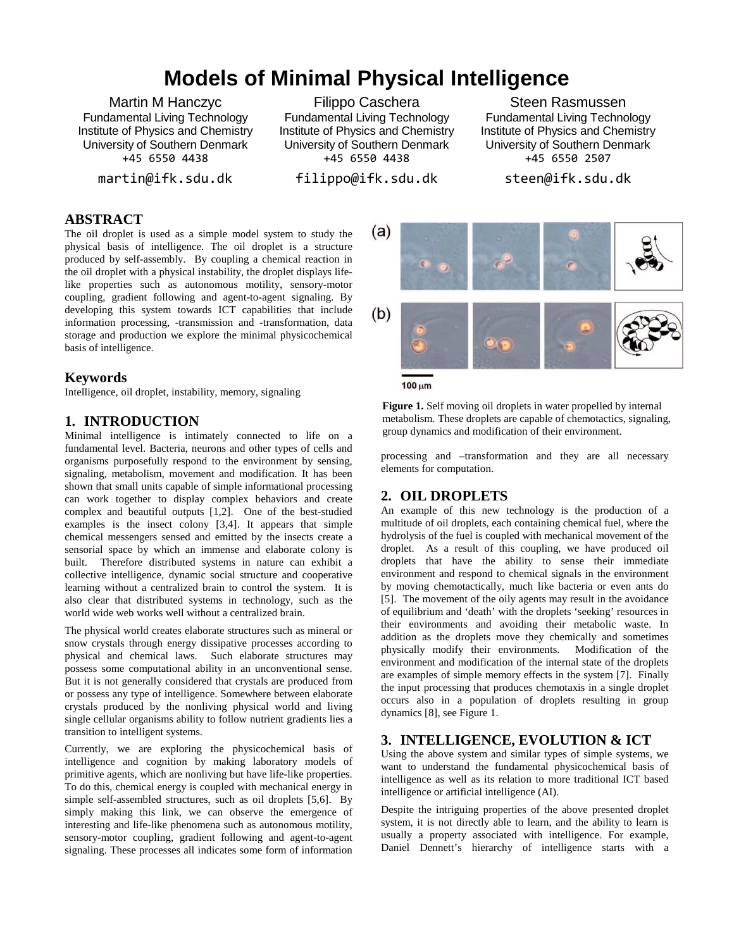# **Models of Minimal Physical Intelligence**

Martin M Hanczyc Fundamental Living Technology Institute of Physics and Chemistry University of Southern Denmark +45 6550 4438

martin@ifk.sdu.dk

Filippo Caschera Fundamental Living Technology Institute of Physics and Chemistry University of Southern Denmark +45 6550 4438

filippo@ifk.sdu.dk

Steen Rasmussen Fundamental Living Technology Institute of Physics and Chemistry University of Southern Denmark +45 6550 2507

steen@ifk.sdu.dk

# **ABSTRACT**

The oil droplet is used as a simple model system to study the physical basis of intelligence. The oil droplet is a structure produced by self-assembly. By coupling a chemical reaction in the oil droplet with a physical instability, the droplet displays lifelike properties such as autonomous motility, sensory-motor coupling, gradient following and agent-to-agent signaling. By developing this system towards ICT capabilities that include information processing, -transmission and -transformation, data storage and production we explore the minimal physicochemical basis of intelligence.

#### **Keywords**

Intelligence, oil droplet, instability, memory, signaling

## **1. INTRODUCTION**

Minimal intelligence is intimately connected to life on a fundamental level. Bacteria, neurons and other types of cells and organisms purposefully respond to the environment by sensing, signaling, metabolism, movement and modification. It has been shown that small units capable of simple informational processing can work together to display complex behaviors and create complex and beautiful outputs [1,2]. One of the best-studied examples is the insect colony [3,4]. It appears that simple chemical messengers sensed and emitted by the insects create a sensorial space by which an immense and elaborate colony is built. Therefore distributed systems in nature can exhibit a collective intelligence, dynamic social structure and cooperative learning without a centralized brain to control the system. It is also clear that distributed systems in technology, such as the world wide web works well without a centralized brain.

The physical world creates elaborate structures such as mineral or snow crystals through energy dissipative processes according to physical and chemical laws. Such elaborate structures may possess some computational ability in an unconventional sense. But it is not generally considered that crystals are produced from or possess any type of intelligence. Somewhere between elaborate crystals produced by the nonliving physical world and living single cellular organisms ability to follow nutrient gradients lies a transition to intelligent systems.

Currently, we are exploring the physicochemical basis of intelligence and cognition by making laboratory models of primitive agents, which are nonliving but have life-like properties. To do this, chemical energy is coupled with mechanical energy in simple self-assembled structures, such as oil droplets [5,6]. By simply making this link, we can observe the emergence of interesting and life-like phenomena such as autonomous motility, sensory-motor coupling, gradient following and agent-to-agent signaling. These processes all indicates some form of information



 $100 \mu m$ 

**Figure 1.** Self moving oil droplets in water propelled by internal metabolism. These droplets are capable of chemotactics, signaling, group dynamics and modification of their environment.

processing and –transformation and they are all necessary elements for computation.

## **2. OIL DROPLETS**

An example of this new technology is the production of a multitude of oil droplets, each containing chemical fuel, where the hydrolysis of the fuel is coupled with mechanical movement of the droplet. As a result of this coupling, we have produced oil droplets that have the ability to sense their immediate environment and respond to chemical signals in the environment by moving chemotactically, much like bacteria or even ants do [5]. The movement of the oily agents may result in the avoidance of equilibrium and 'death' with the droplets 'seeking' resources in their environments and avoiding their metabolic waste. In addition as the droplets move they chemically and sometimes physically modify their environments. Modification of the environment and modification of the internal state of the droplets are examples of simple memory effects in the system [7]. Finally the input processing that produces chemotaxis in a single droplet occurs also in a population of droplets resulting in group dynamics [8], see Figure 1.

# **3. INTELLIGENCE, EVOLUTION & ICT**

Using the above system and similar types of simple systems, we want to understand the fundamental physicochemical basis of intelligence as well as its relation to more traditional ICT based intelligence or artificial intelligence (AI).

Despite the intriguing properties of the above presented droplet system, it is not directly able to learn, and the ability to learn is usually a property associated with intelligence. For example, Daniel Dennett's hierarchy of intelligence starts with a